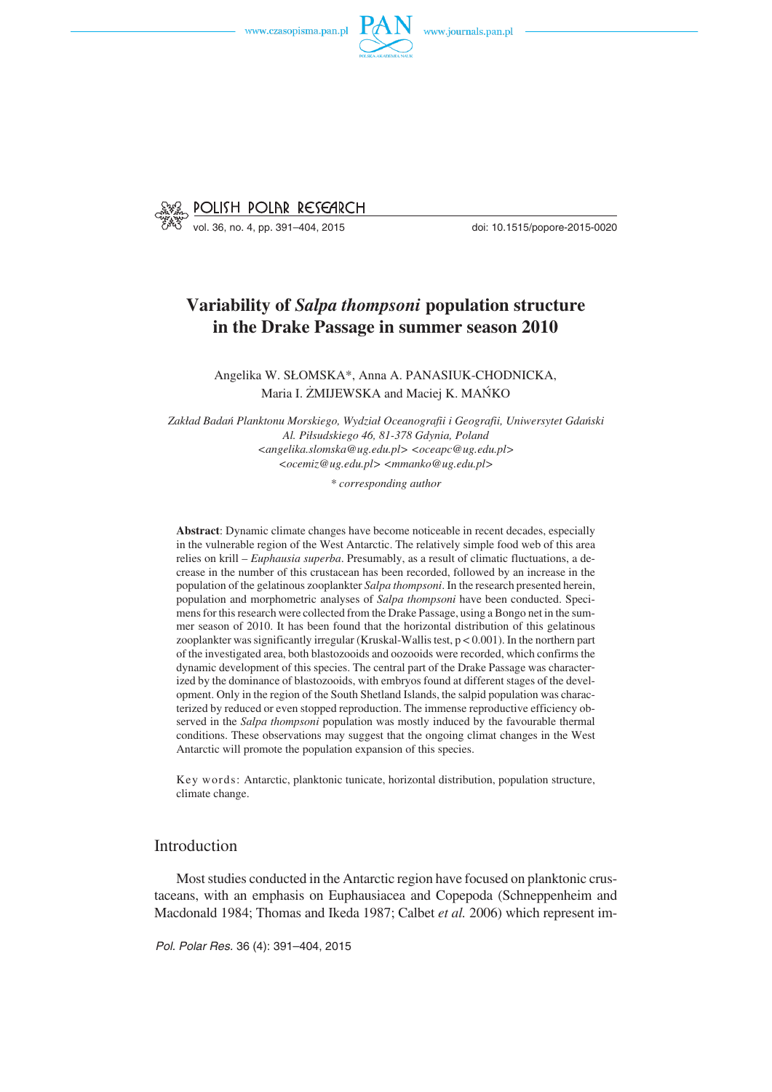

vol. 36, no. 4, pp. 391–404, 2015 doi: 10.1515/popore−2015−0020

# **Variability of** *Salpa thompsoni* **population structure in the Drake Passage in summer season 2010**

Angelika W. SŁOMSKA\*, Anna A. PANASIUK−CHODNICKA, Maria I. ŻMIJEWSKA and Maciej K. MAŃKO

*Zakład Badań Planktonu Morskiego, Wydział Oceanografii i Geografii, Uniwersytet Gdański Al. Piłsudskiego 46, 81−378 Gdynia, Poland <angelika.slomska@ug.edu.pl> <oceapc@ug.edu.pl> <ocemiz@ug.edu.pl> <mmanko@ug.edu.pl>*

*\* corresponding author*

**Abstract**: Dynamic climate changes have become noticeable in recent decades, especially in the vulnerable region of the West Antarctic. The relatively simple food web of this area relies on krill – *Euphausia superba*. Presumably, as a result of climatic fluctuations, a de− crease in the number of this crustacean has been recorded, followed by an increase in the population of the gelatinous zooplankter *Salpa thompsoni*. In the research presented herein, population and morphometric analyses of *Salpa thompsoni* have been conducted. Speci− mens for this research were collected from the Drake Passage, using a Bongo net in the sum− mer season of 2010. It has been found that the horizontal distribution of this gelatinous zooplankter was significantly irregular (Kruskal−Wallis test, p < 0.001). In the northern part of the investigated area, both blastozooids and oozooids were recorded, which confirms the dynamic development of this species. The central part of the Drake Passage was character− ized by the dominance of blastozooids, with embryos found at different stages of the devel− opment. Only in the region of the South Shetland Islands, the salpid population was charac− terized by reduced or even stopped reproduction. The immense reproductive efficiency ob− served in the *Salpa thompsoni* population was mostly induced by the favourable thermal conditions. These observations may suggest that the ongoing climat changes in the West Antarctic will promote the population expansion of this species.

Key words: Antarctic, planktonic tunicate, horizontal distribution, population structure, climate change.

### Introduction

Most studies conducted in the Antarctic region have focused on planktonic crus− taceans, with an emphasis on Euphausiacea and Copepoda (Schneppenheim and Macdonald 1984; Thomas and Ikeda 1987; Calbet *et al.* 2006) which represent im−

*Pol. Polar Res.* 36 (4): 391–404, 2015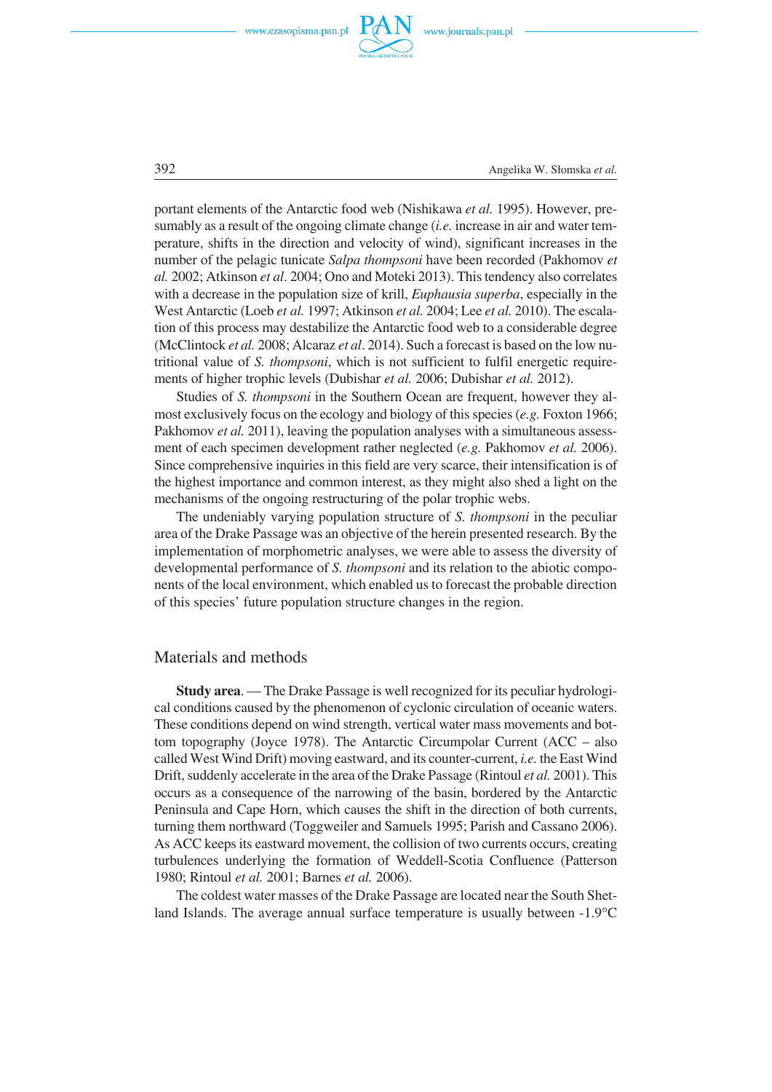

392 Angelika W. Słomska *et al.*

portant elements of the Antarctic food web (Nishikawa *et al.* 1995). However, pre− sumably as a result of the ongoing climate change (*i.e.* increase in air and water tem− perature, shifts in the direction and velocity of wind), significant increases in the number of the pelagic tunicate *Salpa thompsoni* have been recorded (Pakhomov *et al.* 2002; Atkinson *et al*. 2004; Ono and Moteki 2013). This tendency also correlates with a decrease in the population size of krill, *Euphausia superba*, especially in the West Antarctic (Loeb *et al.* 1997; Atkinson *et al.* 2004; Lee *et al.* 2010). The escala− tion of this process may destabilize the Antarctic food web to a considerable degree (McClintock *et al.* 2008; Alcaraz *et al*. 2014). Such a forecast is based on the low nu− tritional value of *S. thompsoni*, which is not sufficient to fulfil energetic require− ments of higher trophic levels (Dubishar *et al.* 2006; Dubishar *et al.* 2012).

Studies of *S. thompsoni* in the Southern Ocean are frequent, however they al− most exclusively focus on the ecology and biology of this species (*e.g.* Foxton 1966; Pakhomov *et al.* 2011), leaving the population analyses with a simultaneous assessment of each specimen development rather neglected (*e.g.* Pakhomov *et al.* 2006). Since comprehensive inquiries in this field are very scarce, their intensification is of the highest importance and common interest, as they might also shed a light on the mechanisms of the ongoing restructuring of the polar trophic webs.

The undeniably varying population structure of *S. thompsoni* in the peculiar area of the Drake Passage was an objective of the herein presented research. By the implementation of morphometric analyses, we were able to assess the diversity of developmental performance of *S. thompsoni* and its relation to the abiotic compo− nents of the local environment, which enabled us to forecast the probable direction of this species' future population structure changes in the region.

### Materials and methods

**Study area**. — The Drake Passage is well recognized for its peculiar hydrologi− cal conditions caused by the phenomenon of cyclonic circulation of oceanic waters. These conditions depend on wind strength, vertical water mass movements and bot− tom topography (Joyce 1978). The Antarctic Circumpolar Current (ACC – also called West Wind Drift) moving eastward, and its counter−current, *i.e.* the East Wind Drift, suddenly accelerate in the area of the Drake Passage (Rintoul *et al.* 2001). This occurs as a consequence of the narrowing of the basin, bordered by the Antarctic Peninsula and Cape Horn, which causes the shift in the direction of both currents, turning them northward (Toggweiler and Samuels 1995; Parish and Cassano 2006). As ACC keeps its eastward movement, the collision of two currents occurs, creating turbulences underlying the formation of Weddell−Scotia Confluence (Patterson 1980; Rintoul *et al.* 2001; Barnes *et al.* 2006).

The coldest water masses of the Drake Passage are located near the South Shet− The coldest water masses of the Drake Passage are located near the South Shetland Islands. The average annual surface temperature is usually between -1.9°C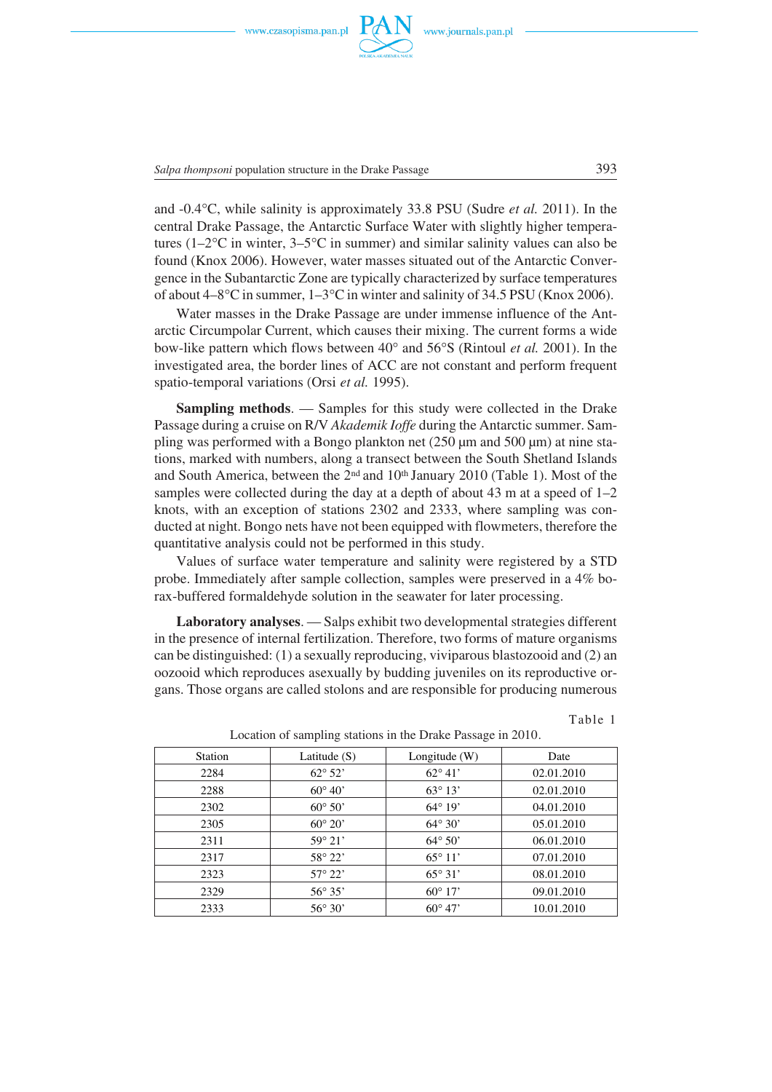

*Salpa thompsoni* population structure in the Drake Passage 393

and -0.4°C, while salinity is approximately 33.8 PSU (Sudre *et al.* 2011). In the central Drake Passage, the Antarctic Surface Water with slightly higher tempera-<br>tures (1–2°C in winter, 3–5°C in summer) and similar salinity values can also be tures  $(1-2^{\circ}\text{C})$  in winter,  $3-5^{\circ}\text{C}$  in summer) and similar salinity values can also be found (Knox 2006). However, water masses situated out of the Antarctic Conver− gence in the Subantarctic Zone are typically characterized by surface temperatures gence in the Subantarctic Zone are typically characterized by surface temperatures<br>of about 4–8°C in summer, 1–3°C in winter and salinity of 34.5 PSU (Knox 2006).

Water masses in the Drake Passage are under immense influence of the Ant− arctic Circumpolar Current, which causes their mixing. The current forms a wide arctic Circumpolar Current, which causes their mixing. The current forms a wide<br>bow-like pattern which flows between 40° and 56°S (Rintoul *et al.* 2001). In the investigated area, the border lines of ACC are not constant and perform frequent spatio−temporal variations (Orsi *et al.* 1995).

**Sampling methods**. — Samples for this study were collected in the Drake Passage during a cruise on R/V *Akademik Ioffe* during the Antarctic summer. Sam− pling was performed with a Bongo plankton net (250 μm and 500 μm) at nine sta− tions, marked with numbers, along a transect between the South Shetland Islands and South America, between the  $2<sup>nd</sup>$  and  $10<sup>th</sup>$  January 2010 (Table 1). Most of the samples were collected during the day at a depth of about 43 m at a speed of  $1-2$ knots, with an exception of stations 2302 and 2333, where sampling was con− ducted at night. Bongo nets have not been equipped with flowmeters, therefore the quantitative analysis could not be performed in this study.

Values of surface water temperature and salinity were registered by a STD probe. Immediately after sample collection, samples were preserved in a 4% bo− rax−buffered formaldehyde solution in the seawater for later processing.

**Laboratory analyses**. — Salps exhibit two developmental strategies different in the presence of internal fertilization. Therefore, two forms of mature organisms can be distinguished: (1) a sexually reproducing, viviparous blastozooid and (2) an oozooid which reproduces asexually by budding juveniles on its reproductive or− gans. Those organs are called stolons and are responsible for producing numerous

Table 1

| $\mu$ and $\mu$ is a sumplified by the control of the $\mu$ and $\mu$ and $\mu$ and $\mu$ |                  |                  |            |  |
|-------------------------------------------------------------------------------------------|------------------|------------------|------------|--|
| Station                                                                                   | Latitude $(S)$   | Longitude $(W)$  | Date       |  |
| 2284                                                                                      | $62^{\circ} 52'$ | $62^{\circ} 41'$ | 02.01.2010 |  |
| 2288                                                                                      | $60^{\circ} 40'$ | $63^{\circ} 13'$ | 02.01.2010 |  |
| 2302                                                                                      | $60^{\circ} 50'$ | $64^{\circ} 19'$ | 04.01.2010 |  |
| 2305                                                                                      | $60^\circ 20'$   | $64^{\circ} 30'$ | 05.01.2010 |  |
| 2311                                                                                      | $59^{\circ} 21'$ | $64^{\circ} 50'$ | 06.01.2010 |  |
| 2317                                                                                      | $58^{\circ} 22'$ | $65^{\circ} 11'$ | 07.01.2010 |  |
| 2323                                                                                      | $57^{\circ} 22'$ | $65^{\circ} 31'$ | 08.01.2010 |  |
| 2329                                                                                      | $56^{\circ} 35'$ | $60^{\circ} 17'$ | 09.01.2010 |  |
| 2333                                                                                      | $56^{\circ} 30'$ | $60^{\circ}$ 47' | 10.01.2010 |  |

Location of sampling stations in the Drake Passage in 2010.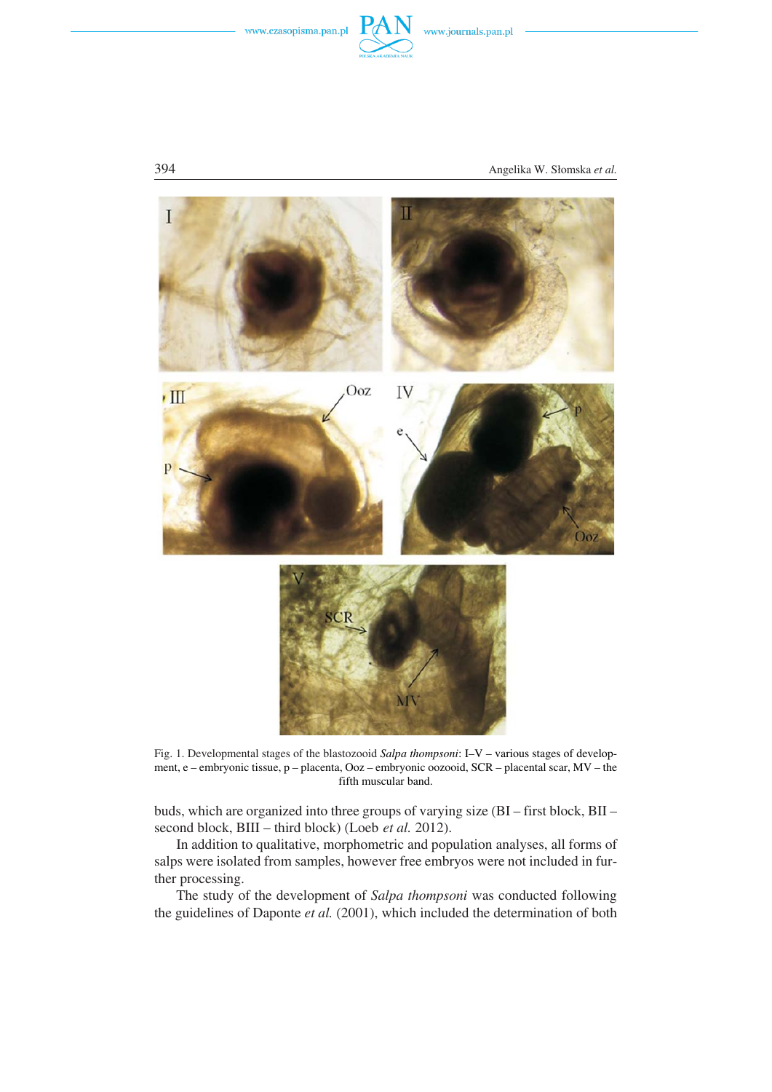



394 Angelika W. Słomska *et al.*



Fig. 1. Developmental stages of the blastozooid *Salpa thompsoni*: I–V – various stages of develop− ment, e – embryonic tissue, p – placenta, Ooz – embryonic oozooid, SCR – placental scar, MV – the fifth muscular band.

buds, which are organized into three groups of varying size (BI – first block, BII – second block, BIII – third block) (Loeb *et al.* 2012).

In addition to qualitative, morphometric and population analyses, all forms of salps were isolated from samples, however free embryos were not included in fur− ther processing.

The study of the development of *Salpa thompsoni* was conducted following the guidelines of Daponte *et al.* (2001), which included the determination of both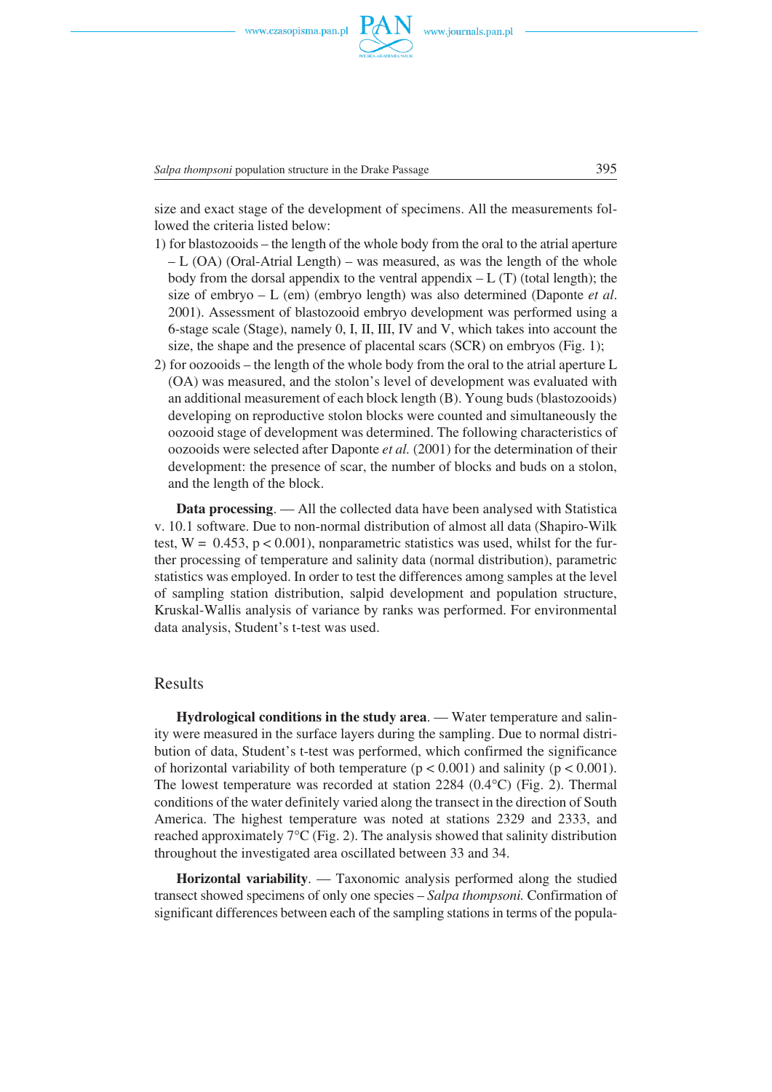

Salpa thompsoni population structure in the Drake Passage 395

size and exact stage of the development of specimens. All the measurements fol− lowed the criteria listed below:

- 1) for blastozooids the length of the whole body from the oral to the atrial aperture – L (OA) (Oral−Atrial Length) – was measured, as was the length of the whole body from the dorsal appendix to the ventral appendix  $-L(T)$  (total length); the size of embryo – L (em) (embryo length) was also determined (Daponte *et al*. 2001). Assessment of blastozooid embryo development was performed using a 6−stage scale (Stage), namely 0, I, II, III, IV and V, which takes into account the size, the shape and the presence of placental scars (SCR) on embryos (Fig. 1);
- 2) for oozooids the length of the whole body from the oral to the atrial aperture L (OA) was measured, and the stolon's level of development was evaluated with an additional measurement of each block length (B). Young buds (blastozooids) developing on reproductive stolon blocks were counted and simultaneously the oozooid stage of development was determined. The following characteristics of oozooids were selected after Daponte *et al.* (2001) for the determination of their development: the presence of scar, the number of blocks and buds on a stolon, and the length of the block.

**Data processing**. — All the collected data have been analysed with Statistica v. 10.1 software. Due to non−normal distribution of almost all data (Shapiro−Wilk test, W =  $(0.453, p < 0.001)$ , nonparametric statistics was used, whilst for the further processing of temperature and salinity data (normal distribution), parametric statistics was employed. In order to test the differences among samples at the level of sampling station distribution, salpid development and population structure, Kruskal−Wallis analysis of variance by ranks was performed. For environmental data analysis, Student's t−test was used.

#### Results

**Hydrological conditions in the study area**. — Water temperature and salin− ity were measured in the surface layers during the sampling. Due to normal distri− bution of data, Student's t−test was performed, which confirmed the significance of horizontal variability of both temperature ( $p < 0.001$ ) and salinity ( $p < 0.001$ ).<br>The lowest temperature was recorded at station 2284 (0.4°C) (Fig. 2). Thermal The lowest temperature was recorded at station 2284  $(0.4^{\circ}C)$  (Fig. 2). Thermal conditions of the water definitely varied along the transect in the direction of South America. The highest temperature was noted at stations 2329 and 2333, and reached approximately  $7^{\circ}$ C (Fig. 2). The analysis showed that salinity distribution reached approximately  $7^{\circ}C$  (Fig. 2). The analysis showed that salinity distribution throughout the investigated area oscillated between 33 and 34.

**Horizontal variability**. — Taxonomic analysis performed along the studied transect showed specimens of only one species – *Salpa thompsoni.* Confirmation of significant differences between each of the sampling stations in terms of the popula−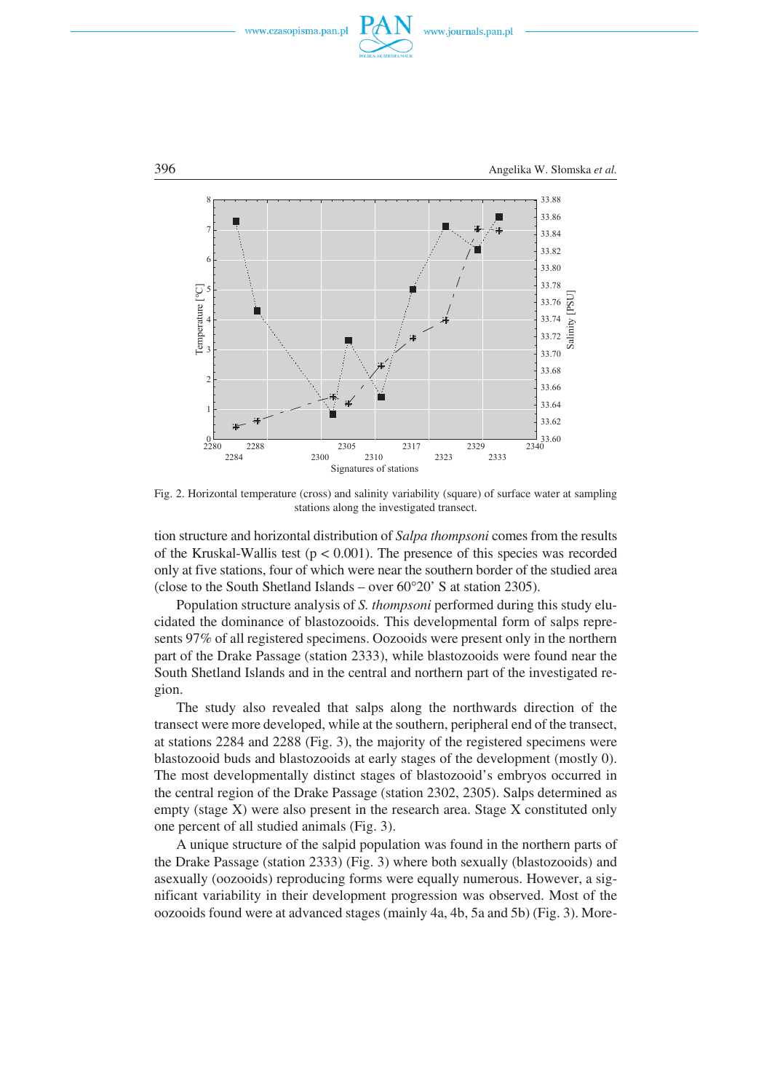





Fig. 2. Horizontal temperature (cross) and salinity variability (square) of surface water at sampling stations along the investigated transect.

tion structure and horizontal distribution of *Salpa thompsoni* comes from the results of the Kruskal−Wallis test (p < 0.001). The presence of this species was recorded only at five stations, four of which were near the southern border of the studied area only at five stations, four of which were near the southern border of the Close to the South Shetland Islands – over 60°20' S at station 2305).

Population structure analysis of *S. thompsoni* performed during this study elu− cidated the dominance of blastozooids. This developmental form of salps repre− sents 97% of all registered specimens. Oozooids were present only in the northern part of the Drake Passage (station 2333), while blastozooids were found near the South Shetland Islands and in the central and northern part of the investigated re− gion.

The study also revealed that salps along the northwards direction of the transect were more developed, while at the southern, peripheral end of the transect, at stations 2284 and 2288 (Fig. 3), the majority of the registered specimens were blastozooid buds and blastozooids at early stages of the development (mostly 0). The most developmentally distinct stages of blastozooid's embryos occurred in the central region of the Drake Passage (station 2302, 2305). Salps determined as empty (stage X) were also present in the research area. Stage X constituted only one percent of all studied animals (Fig. 3).

A unique structure of the salpid population was found in the northern parts of the Drake Passage (station 2333) (Fig. 3) where both sexually (blastozooids) and asexually (oozooids) reproducing forms were equally numerous. However, a sig− nificant variability in their development progression was observed. Most of the oozooids found were at advanced stages (mainly 4a, 4b, 5a and 5b) (Fig. 3). More−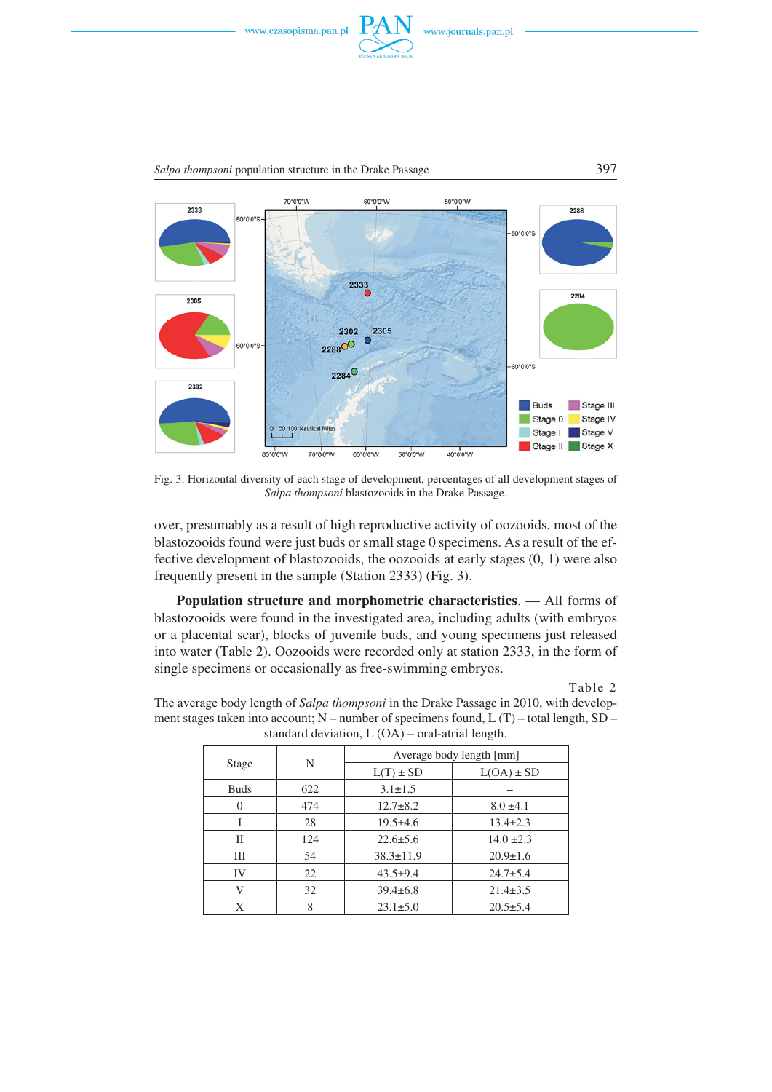

*Salpa thompsoni* population structure in the Drake Passage 397



Fig. 3. Horizontal diversity of each stage of development, percentages of all development stages of *Salpa thompsoni* blastozooids in the Drake Passage.

over, presumably as a result of high reproductive activity of oozooids, most of the blastozooids found were just buds or small stage 0 specimens. As a result of the ef− fective development of blastozooids, the oozooids at early stages (0, 1) were also frequently present in the sample (Station 2333) (Fig. 3).

**Population structure and morphometric characteristics**. — All forms of blastozooids were found in the investigated area, including adults (with embryos or a placental scar), blocks of juvenile buds, and young specimens just released into water (Table 2). Oozooids were recorded only at station 2333, in the form of single specimens or occasionally as free−swimming embryos.

Table 2

| standard deviation, $L(OA)$ – oral-atrial length. |     |                          |                |  |
|---------------------------------------------------|-----|--------------------------|----------------|--|
| Stage                                             | N   | Average body length [mm] |                |  |
|                                                   |     | $L(T) \pm SD$            | $L(OA) \pm SD$ |  |
| <b>Buds</b>                                       | 622 | $3.1 \pm 1.5$            |                |  |
| 0                                                 | 474 | $12.7 + 8.2$             | $8.0 \pm 4.1$  |  |
| I                                                 | 28  | $19.5+4.6$               | $13.4 \pm 2.3$ |  |
| П                                                 | 124 | $22.6 \pm 5.6$           | $14.0 \pm 2.3$ |  |
| Ш                                                 | 54  | $38.3 \pm 11.9$          | $20.9 \pm 1.6$ |  |
| IV                                                | 22  | $43.5+9.4$               | $24.7 + 5.4$   |  |
| V                                                 | 32  | $39.4 \pm 6.8$           | $21.4 \pm 3.5$ |  |
| X                                                 | 8   | $23.1 \pm 5.0$           | $20.5 + 5.4$   |  |

The average body length of *Salpa thompsoni* in the Drake Passage in 2010, with develop− ment stages taken into account; N – number of specimens found, L (T) – total length, SD –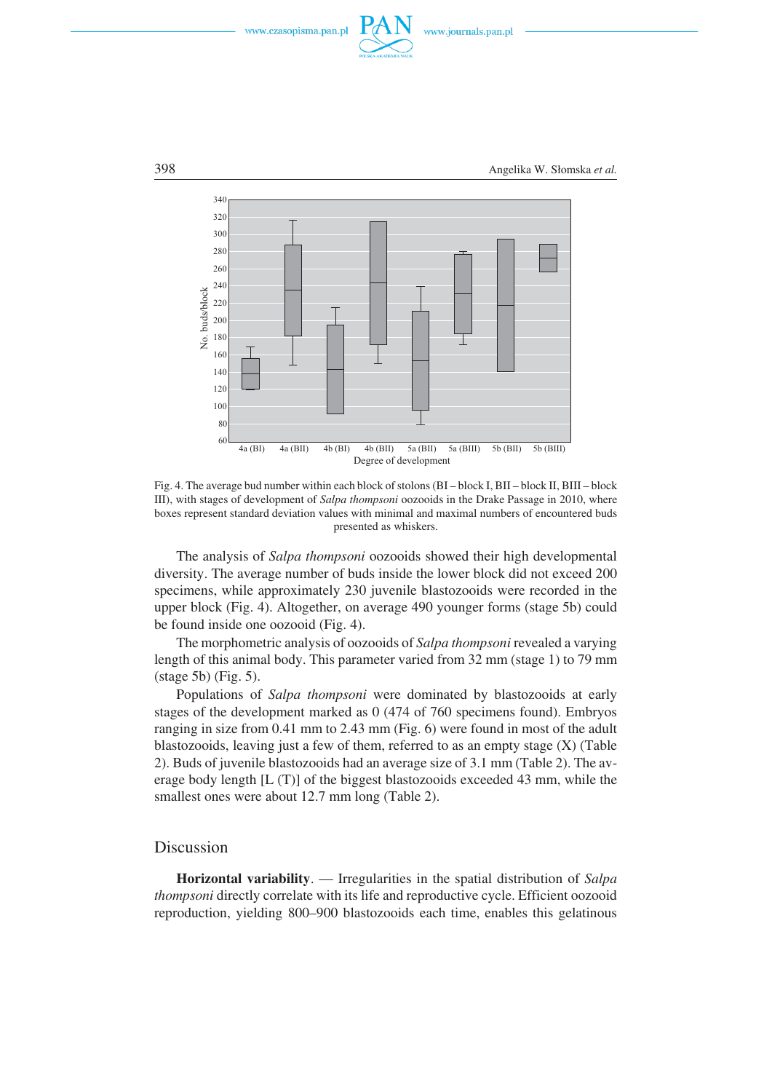





Fig. 4. The average bud number within each block of stolons (BI – block I, BII – block II, BIII – block III), with stages of development of *Salpa thompsoni* oozooids in the Drake Passage in 2010, where boxes represent standard deviation values with minimal and maximal numbers of encountered buds presented as whiskers.

The analysis of *Salpa thompsoni* oozooids showed their high developmental diversity. The average number of buds inside the lower block did not exceed 200 specimens, while approximately 230 juvenile blastozooids were recorded in the upper block (Fig. 4). Altogether, on average 490 younger forms (stage 5b) could be found inside one oozooid (Fig. 4).

The morphometric analysis of oozooids of *Salpa thompsoni* revealed a varying length of this animal body. This parameter varied from 32 mm (stage 1) to 79 mm (stage 5b) (Fig. 5).

Populations of *Salpa thompsoni* were dominated by blastozooids at early stages of the development marked as 0 (474 of 760 specimens found). Embryos ranging in size from 0.41 mm to 2.43 mm (Fig. 6) were found in most of the adult blastozooids, leaving just a few of them, referred to as an empty stage  $(X)$  (Table 2). Buds of juvenile blastozooids had an average size of 3.1 mm (Table 2). The av− erage body length [L (T)] of the biggest blastozooids exceeded 43 mm, while the smallest ones were about 12.7 mm long (Table 2).

## Discussion

**Horizontal variability**. — Irregularities in the spatial distribution of *Salpa thompsoni* directly correlate with its life and reproductive cycle. Efficient oozooid reproduction, yielding 800–900 blastozooids each time, enables this gelatinous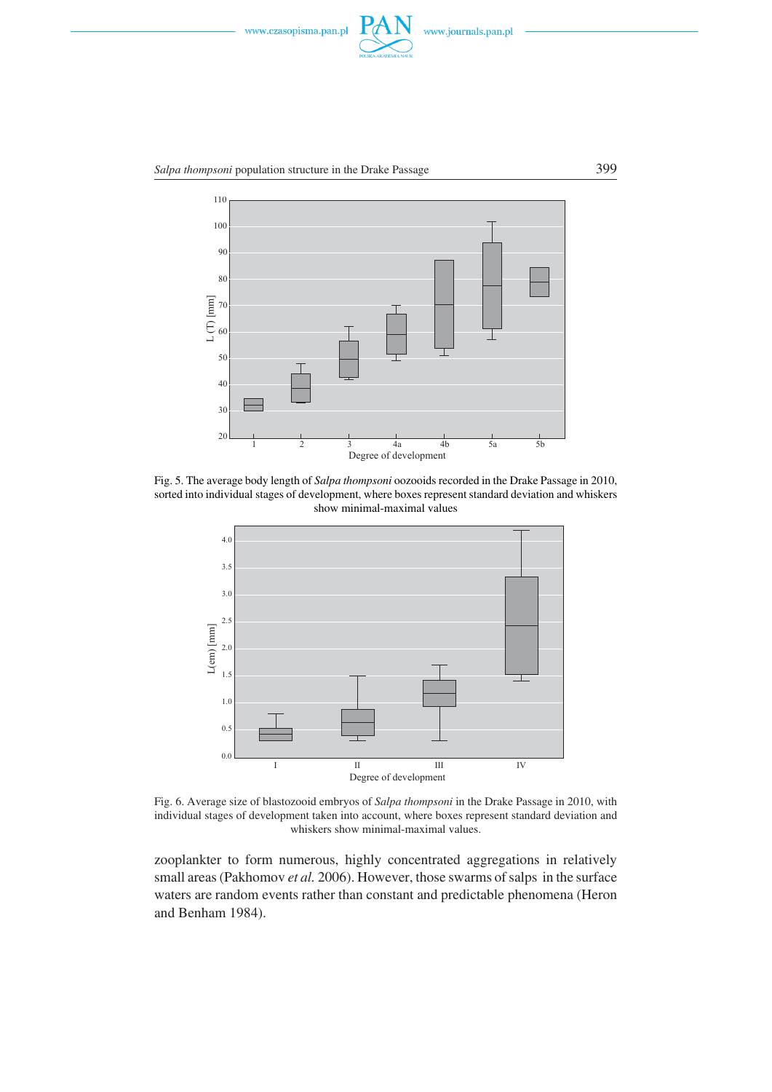



Fig. 5. The average body length of *Salpa thompsoni* oozooids recorded in the Drake Passage in 2010, sorted into individual stages of development, where boxes represent standard deviation and whiskers show minimal−maximal values



Fig. 6. Average size of blastozooid embryos of *Salpa thompsoni* in the Drake Passage in 2010, with individual stages of development taken into account, where boxes represent standard deviation and whiskers show minimal−maximal values.

zooplankter to form numerous, highly concentrated aggregations in relatively small areas (Pakhomov *et al.* 2006). However, those swarms of salps in the surface waters are random events rather than constant and predictable phenomena (Heron and Benham 1984).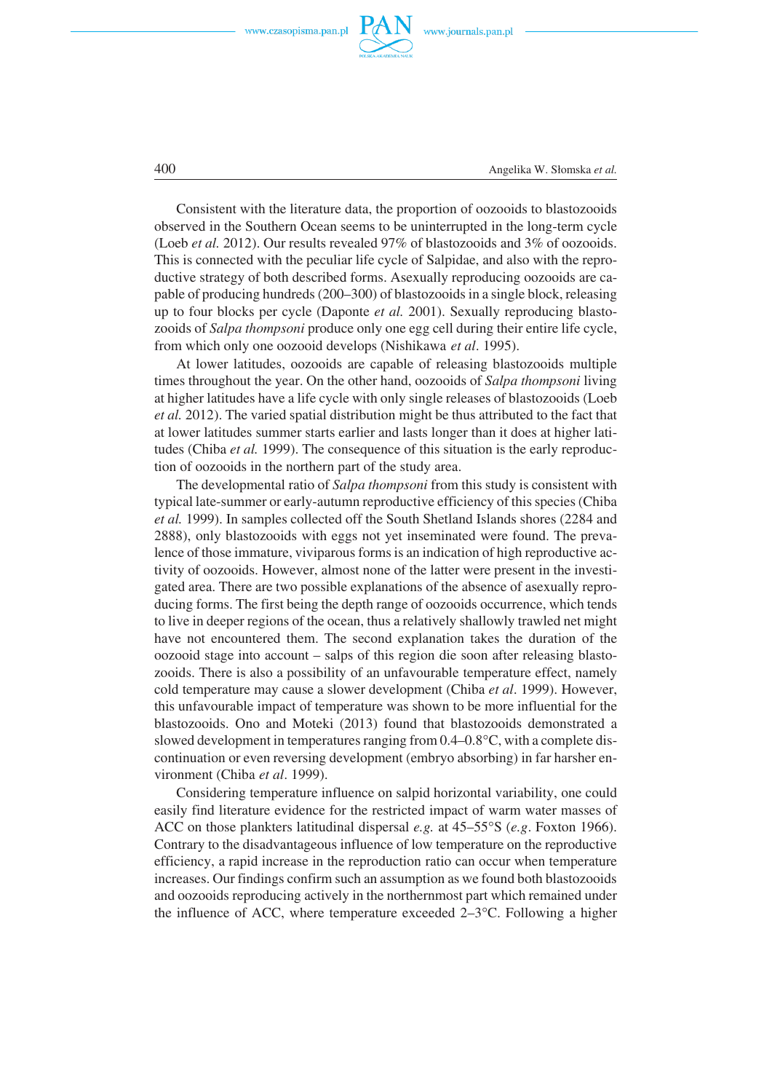



400 Angelika W. Słomska *et al.*

Consistent with the literature data, the proportion of oozooids to blastozooids observed in the Southern Ocean seems to be uninterrupted in the long−term cycle (Loeb *et al.* 2012). Our results revealed 97% of blastozooids and 3% of oozooids. This is connected with the peculiar life cycle of Salpidae, and also with the repro− ductive strategy of both described forms. Asexually reproducing oozooids are ca− pable of producing hundreds (200–300) of blastozooids in a single block, releasing up to four blocks per cycle (Daponte *et al.* 2001). Sexually reproducing blasto− zooids of *Salpa thompsoni* produce only one egg cell during their entire life cycle, from which only one oozooid develops (Nishikawa *et al*. 1995).

At lower latitudes, oozooids are capable of releasing blastozooids multiple times throughout the year. On the other hand, oozooids of *Salpa thompsoni* living at higher latitudes have a life cycle with only single releases of blastozooids (Loeb *et al.* 2012). The varied spatial distribution might be thus attributed to the fact that at lower latitudes summer starts earlier and lasts longer than it does at higher lati− tudes (Chiba *et al.* 1999). The consequence of this situation is the early reproduc− tion of oozooids in the northern part of the study area.

The developmental ratio of *Salpa thompsoni* from this study is consistent with typical late−summer or early−autumn reproductive efficiency of this species (Chiba *et al.* 1999). In samples collected off the South Shetland Islands shores (2284 and 2888), only blastozooids with eggs not yet inseminated were found. The preva− lence of those immature, viviparous forms is an indication of high reproductive ac− tivity of oozooids. However, almost none of the latter were present in the investi− gated area. There are two possible explanations of the absence of asexually repro− ducing forms. The first being the depth range of oozooids occurrence, which tends to live in deeper regions of the ocean, thus a relatively shallowly trawled net might have not encountered them. The second explanation takes the duration of the oozooid stage into account – salps of this region die soon after releasing blasto− zooids. There is also a possibility of an unfavourable temperature effect, namely cold temperature may cause a slower development (Chiba *et al*. 1999). However, this unfavourable impact of temperature was shown to be more influential for the blastozooids. Ono and Moteki (2013) found that blastozooids demonstrated a slowed development in temperatures ranging from 0.4–0.8°C, with a complete disslowed development in temperatures ranging from  $0.4-0.8\degree C$ , with a complete discontinuation or even reversing development (embryo absorbing) in far harsher en− vironment (Chiba *et al*. 1999).

Considering temperature influence on salpid horizontal variability, one could easily find literature evidence for the restricted impact of warm water masses of ACC on those plankters latitudinal dispersal *e.g.* at 45–55°S (*e.g.* Foxton 1966). ACC on those plankters latitudinal dispersal e.g. at 45–55°S (e.g. Foxton 1966). Contrary to the disadvantageous influence of low temperature on the reproductive efficiency, a rapid increase in the reproduction ratio can occur when temperature increases. Our findings confirm such an assumption as we found both blastozooids and oozooids reproducing actively in the northernmost part which remained under<br>the influence of ACC, where temperature exceeded 2–3°C. Following a higher the influence of ACC, where temperature exceeded  $2-3$ °C. Following a higher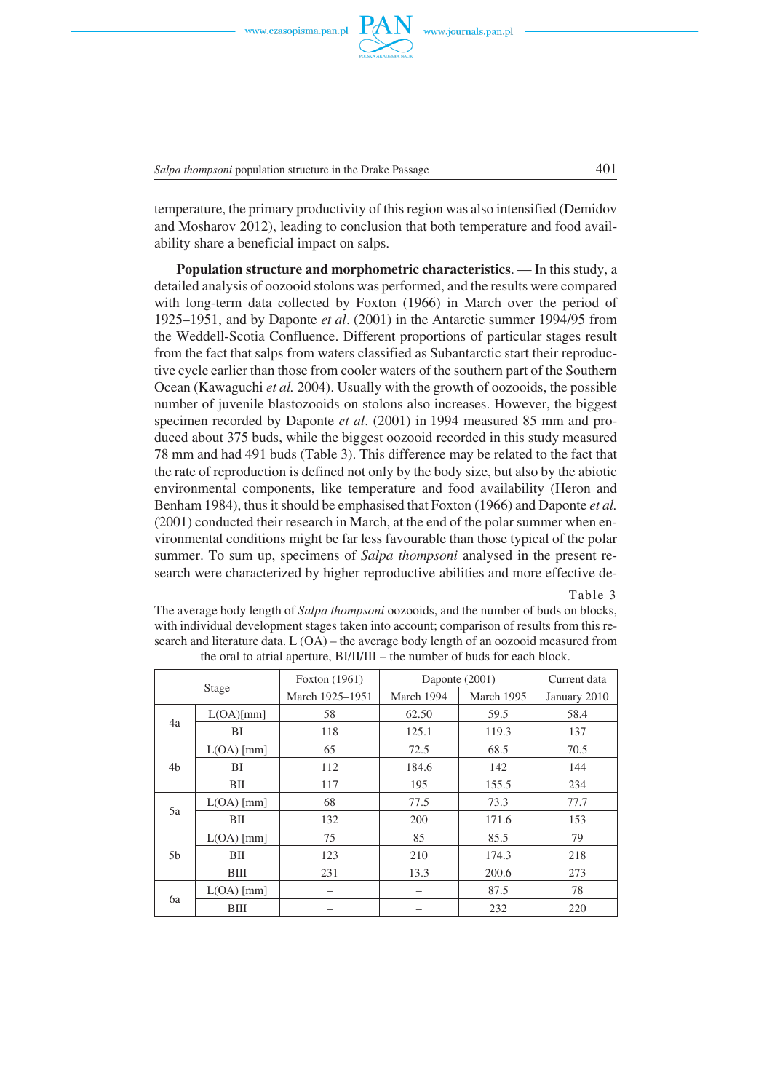

*Salpa thompsoni* population structure in the Drake Passage 401

temperature, the primary productivity of this region was also intensified (Demidov and Mosharov 2012), leading to conclusion that both temperature and food avail− ability share a beneficial impact on salps.

**Population structure and morphometric characteristics**. — In this study, a detailed analysis of oozooid stolons was performed, and the results were compared with long−term data collected by Foxton (1966) in March over the period of 1925–1951, and by Daponte *et al*. (2001) in the Antarctic summer 1994/95 from the Weddell−Scotia Confluence. Different proportions of particular stages result from the fact that salps from waters classified as Subantarctic start their reproduc− tive cycle earlier than those from cooler waters of the southern part of the Southern Ocean (Kawaguchi *et al.* 2004). Usually with the growth of oozooids, the possible number of juvenile blastozooids on stolons also increases. However, the biggest specimen recorded by Daponte *et al*. (2001) in 1994 measured 85 mm and pro− duced about 375 buds, while the biggest oozooid recorded in this study measured 78 mm and had 491 buds (Table 3). This difference may be related to the fact that the rate of reproduction is defined not only by the body size, but also by the abiotic environmental components, like temperature and food availability (Heron and Benham 1984), thus it should be emphasised that Foxton (1966) and Daponte *et al.* (2001) conducted their research in March, at the end of the polar summer when en− vironmental conditions might be far less favourable than those typical of the polar summer. To sum up, specimens of *Salpa thompsoni* analysed in the present re− search were characterized by higher reproductive abilities and more effective de−

Table 3

The average body length of *Salpa thompsoni* oozooids, and the number of buds on blocks, with individual development stages taken into account; comparison of results from this re− search and literature data. L (OA) – the average body length of an oozooid measured from the oral to atrial aperture, BI/II/III – the number of buds for each block.

| Stage |              | Foxton (1961)   | Daponte (2001) |            | Current data |
|-------|--------------|-----------------|----------------|------------|--------------|
|       |              | March 1925-1951 | March 1994     | March 1995 | January 2010 |
| 4a    | L(OA)[mm]    | 58              | 62.50          | 59.5       | 58.4         |
|       | BI           | 118             | 125.1          | 119.3      | 137          |
| 4b    | $L(OA)$ [mm] | 65              | 72.5           | 68.5       | 70.5         |
|       | BI           | 112             | 184.6          | 142        | 144          |
|       | BП           | 117             | 195            | 155.5      | 234          |
| 5a    | $L(OA)$ [mm] | 68              | 77.5           | 73.3       | 77.7         |
|       | BII          | 132             | 200            | 171.6      | 153          |
|       | $L(OA)$ [mm] | 75              | 85             | 85.5       | 79           |
| 5b    | BII          | 123             | 210            | 174.3      | 218          |
|       | BIII         | 231             | 13.3           | 200.6      | 273          |
| 6a    | $L(OA)$ [mm] |                 |                | 87.5       | 78           |
|       | BIII         |                 |                | 232        | 220          |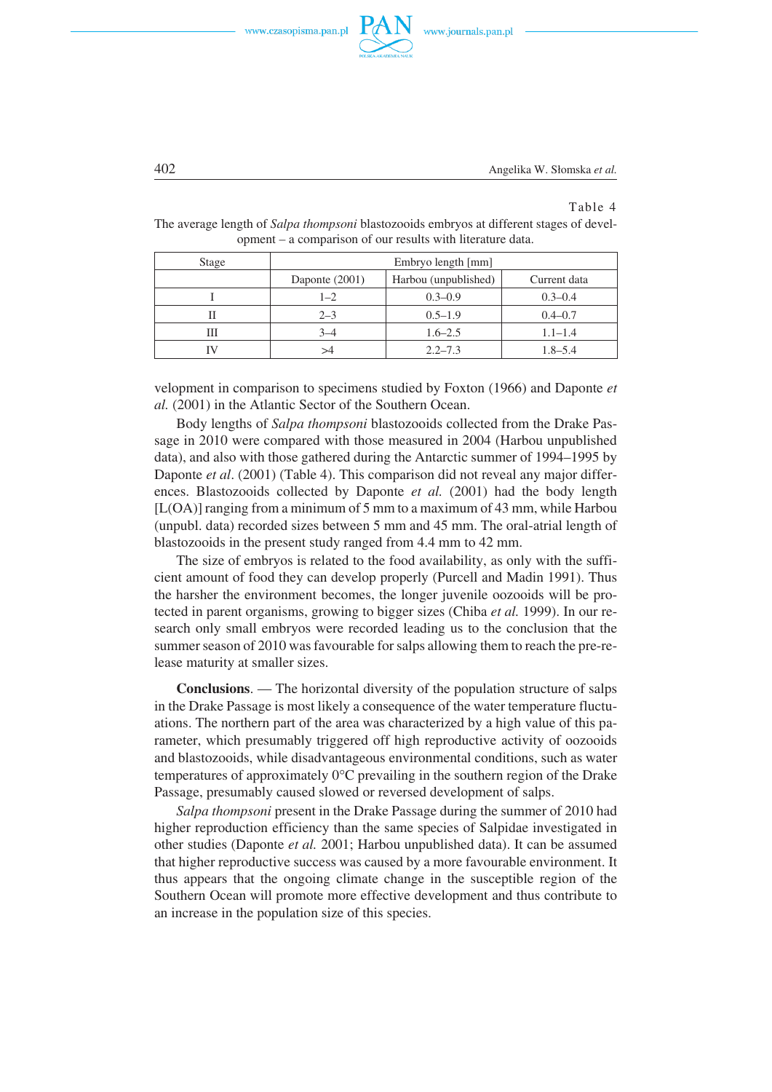

402 Angelika W. Słomska *et al.*

#### Table 4

| Stage | Embryo length [mm] |                      |              |
|-------|--------------------|----------------------|--------------|
|       | Daponte $(2001)$   | Harbou (unpublished) | Current data |
|       | $1 - 2$            | $0.3 - 0.9$          | $0.3 - 0.4$  |
|       | $2 - 3$            | $0.5 - 1.9$          | $0.4 - 0.7$  |
| Ш     | $3 - 4$            | $1.6 - 2.5$          | $1.1 - 1.4$  |
|       | >4                 | $2.2 - 7.3$          | $1.8 - 5.4$  |

The average length of *Salpa thompsoni* blastozooids embryos at different stages of devel− opment – a comparison of our results with literature data.

velopment in comparison to specimens studied by Foxton (1966) and Daponte *et al.* (2001) in the Atlantic Sector of the Southern Ocean.

Body lengths of *Salpa thompsoni* blastozooids collected from the Drake Pas− sage in 2010 were compared with those measured in 2004 (Harbou unpublished data), and also with those gathered during the Antarctic summer of 1994–1995 by Daponte *et al*. (2001) (Table 4). This comparison did not reveal any major differ− ences. Blastozooids collected by Daponte *et al.* (2001) had the body length [L(OA)] ranging from a minimum of 5 mm to a maximum of 43 mm, while Harbou (unpubl. data) recorded sizes between 5 mm and 45 mm. The oral−atrial length of blastozooids in the present study ranged from 4.4 mm to 42 mm.

The size of embryos is related to the food availability, as only with the suffi− cient amount of food they can develop properly (Purcell and Madin 1991). Thus the harsher the environment becomes, the longer juvenile oozooids will be pro− tected in parent organisms, growing to bigger sizes (Chiba *et al.* 1999). In our re− search only small embryos were recorded leading us to the conclusion that the summer season of 2010 was favourable for salps allowing them to reach the pre−re− lease maturity at smaller sizes.

**Conclusions**. — The horizontal diversity of the population structure of salps in the Drake Passage is most likely a consequence of the water temperature fluctu− ations. The northern part of the area was characterized by a high value of this pa− rameter, which presumably triggered off high reproductive activity of oozooids and blastozooids, while disadvantageous environmental conditions, such as water<br>temperatures of approximately  $0^{\circ}$ C prevailing in the southern region of the Drake temperatures of approximately  $0^{\circ}$ C prevailing in the southern region of the Drake Passage, presumably caused slowed or reversed development of salps.

*Salpa thompsoni* present in the Drake Passage during the summer of 2010 had higher reproduction efficiency than the same species of Salpidae investigated in other studies (Daponte *et al.* 2001; Harbou unpublished data). It can be assumed that higher reproductive success was caused by a more favourable environment. It thus appears that the ongoing climate change in the susceptible region of the Southern Ocean will promote more effective development and thus contribute to an increase in the population size of this species.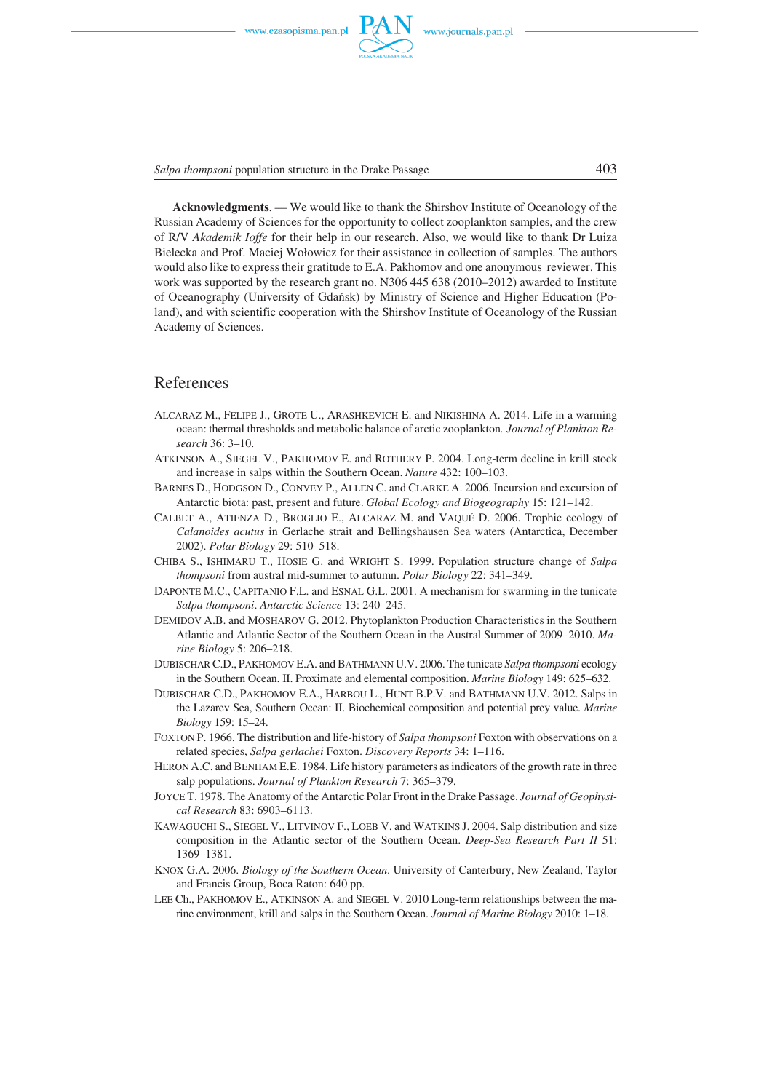*Salpa thompsoni* population structure in the Drake Passage 403

**Acknowledgments**. — We would like to thank the Shirshov Institute of Oceanology of the Russian Academy of Sciences for the opportunity to collect zooplankton samples, and the crew of R/V *Akademik Ioffe* for their help in our research. Also, we would like to thank Dr Luiza Bielecka and Prof. Maciej Wołowicz for their assistance in collection of samples. The authors would also like to express their gratitude to E.A. Pakhomov and one anonymous reviewer. This work was supported by the research grant no. N306 445 638 (2010–2012) awarded to Institute of Oceanography (University of Gdańsk) by Ministry of Science and Higher Education (Po− land), and with scientific cooperation with the Shirshov Institute of Oceanology of the Russian Academy of Sciences.

### References

- ALCARAZ M., FELIPE J., GROTE U., ARASHKEVICH E. and NIKISHINA A. 2014. Life in a warming ocean: thermal thresholds and metabolic balance of arctic zooplankton*. Journal of Plankton Re− search* 36: 3–10.
- ATKINSON A., SIEGEL V., PAKHOMOV E. and ROTHERY P. 2004. Long−term decline in krill stock and increase in salps within the Southern Ocean. *Nature* 432: 100–103.
- BARNES D., HODGSON D., CONVEY P., ALLEN C. and CLARKE A. 2006. Incursion and excursion of Antarctic biota: past, present and future. *Global Ecology and Biogeography* 15: 121–142.
- CALBET A., ATIENZA D., BROGLIO E., ALCARAZ M. and VAQUÉ D. 2006. Trophic ecology of *Calanoides acutus* in Gerlache strait and Bellingshausen Sea waters (Antarctica, December 2002). *Polar Biology* 29: 510–518.
- CHIBA S., ISHIMARU T., HOSIE G. and WRIGHT S. 1999. Population structure change of *Salpa thompsoni* from austral mid−summer to autumn. *Polar Biology* 22: 341–349.
- DAPONTE M.C., CAPITANIO F.L. and ESNAL G.L. 2001. A mechanism for swarming in the tunicate *Salpa thompsoni*. *Antarctic Science* 13: 240–245.
- DEMIDOV A.B. and MOSHAROV G. 2012. Phytoplankton Production Characteristics in the Southern Atlantic and Atlantic Sector of the Southern Ocean in the Austral Summer of 2009–2010. *Ma− rine Biology* 5: 206–218.
- DUBISCHAR C.D., PAKHOMOV E.A. and BATHMANN U.V. 2006. The tunicate *Salpa thompsoni* ecology in the Southern Ocean. II. Proximate and elemental composition. *Marine Biology* 149: 625–632.
- DUBISCHAR C.D., PAKHOMOV E.A., HARBOU L., HUNT B.P.V. and BATHMANN U.V. 2012. Salps in the Lazarev Sea, Southern Ocean: II. Biochemical composition and potential prey value. *Marine Biology* 159: 15–24.
- FOXTON P. 1966. The distribution and life−history of *Salpa thompsoni* Foxton with observations on a related species, *Salpa gerlachei* Foxton. *Discovery Reports* 34: 1–116.
- HERON A.C. and BENHAM E.E. 1984. Life history parameters as indicators of the growth rate in three salp populations. *Journal of Plankton Research* 7: 365–379.
- JOYCE T. 1978. The Anatomy of the Antarctic Polar Front in the Drake Passage. *Journal of Geophysi− cal Research* 83: 6903–6113.
- KAWAGUCHI S., SIEGEL V., LITVINOV F., LOEB V. and WATKINS J. 2004. Salp distribution and size composition in the Atlantic sector of the Southern Ocean. *Deep−Sea Research Part II* 51: 1369–1381.
- KNOX G.A. 2006. *Biology of the Southern Ocean*. University of Canterbury, New Zealand, Taylor and Francis Group, Boca Raton: 640 pp.
- LEE Ch., PAKHOMOV E., ATKINSON A. and SIEGEL V. 2010 Long−term relationships between the ma− rine environment, krill and salps in the Southern Ocean. *Journal of Marine Biology* 2010: 1–18.